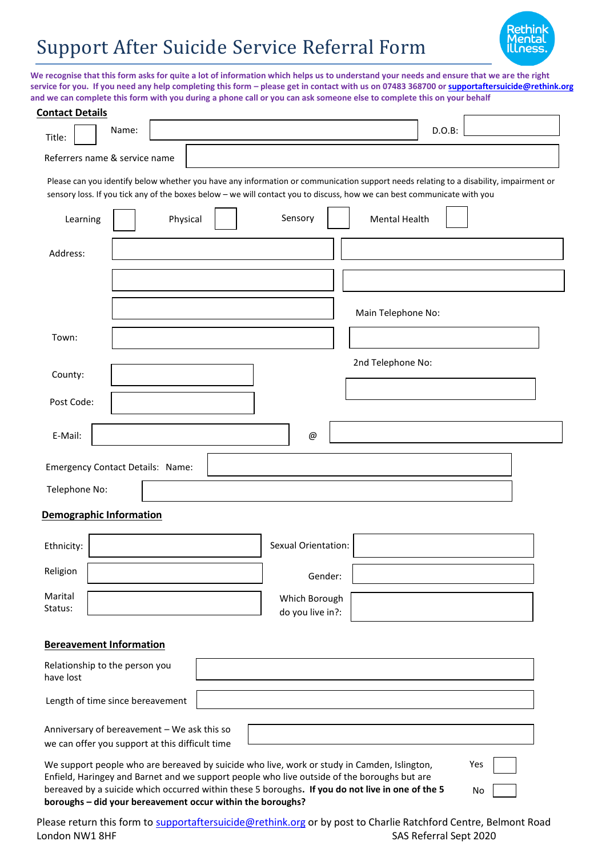## Support After Suicide Service Referral Form



**We recognise that this form asks for quite a lot of information which helps us to understand your needs and ensure that we are the right service for you. If you need any help completing this form – please get in contact with us on 07483 368700 or [supportaftersuicide@rethink.org](mailto:supportaftersuicide@rethink.org)  and we can complete this form with you during a phone call or you can ask someone else to complete this on your behalf**

| <b>Contact Details</b>                      |       |          |  |                                                                                                                                                                                                                                                                  |                      |        |  |  |  |
|---------------------------------------------|-------|----------|--|------------------------------------------------------------------------------------------------------------------------------------------------------------------------------------------------------------------------------------------------------------------|----------------------|--------|--|--|--|
| Title:                                      | Name: |          |  |                                                                                                                                                                                                                                                                  |                      | D.O.B: |  |  |  |
| Referrers name & service name               |       |          |  |                                                                                                                                                                                                                                                                  |                      |        |  |  |  |
|                                             |       |          |  | Please can you identify below whether you have any information or communication support needs relating to a disability, impairment or<br>sensory loss. If you tick any of the boxes below - we will contact you to discuss, how we can best communicate with you |                      |        |  |  |  |
| Learning                                    |       | Physical |  | Sensory                                                                                                                                                                                                                                                          | <b>Mental Health</b> |        |  |  |  |
| Address:                                    |       |          |  |                                                                                                                                                                                                                                                                  |                      |        |  |  |  |
|                                             |       |          |  |                                                                                                                                                                                                                                                                  |                      |        |  |  |  |
|                                             |       |          |  |                                                                                                                                                                                                                                                                  | Main Telephone No:   |        |  |  |  |
| Town:                                       |       |          |  |                                                                                                                                                                                                                                                                  |                      |        |  |  |  |
| County:                                     |       |          |  |                                                                                                                                                                                                                                                                  | 2nd Telephone No:    |        |  |  |  |
| Post Code:                                  |       |          |  |                                                                                                                                                                                                                                                                  |                      |        |  |  |  |
| E-Mail:                                     |       |          |  | @                                                                                                                                                                                                                                                                |                      |        |  |  |  |
| Emergency Contact Details: Name:            |       |          |  |                                                                                                                                                                                                                                                                  |                      |        |  |  |  |
| Telephone No:                               |       |          |  |                                                                                                                                                                                                                                                                  |                      |        |  |  |  |
| <b>Demographic Information</b>              |       |          |  |                                                                                                                                                                                                                                                                  |                      |        |  |  |  |
| Ethnicity:                                  |       |          |  | <b>Sexual Orientation:</b>                                                                                                                                                                                                                                       |                      |        |  |  |  |
| Religion                                    |       |          |  | Gender:                                                                                                                                                                                                                                                          |                      |        |  |  |  |
| Marital<br>Status:                          |       |          |  | Which Borough<br>do you live in?:                                                                                                                                                                                                                                |                      |        |  |  |  |
| <b>Bereavement Information</b>              |       |          |  |                                                                                                                                                                                                                                                                  |                      |        |  |  |  |
| Relationship to the person you<br>have lost |       |          |  |                                                                                                                                                                                                                                                                  |                      |        |  |  |  |
| Length of time since bereavement            |       |          |  |                                                                                                                                                                                                                                                                  |                      |        |  |  |  |

Anniversary of bereavement – We ask this so we can offer you support at this difficult time

We support people who are bereaved by suicide who live, work or study in Camden, Islington, Enfield, Haringey and Barnet and we support people who live outside of the boroughs but are bereaved by a suicide which occurred within these 5 boroughs**. If you do not live in one of the 5 boroughs – did your bereavement occur within the boroughs?**

Please return this form to [supportaftersuicide@rethink.org](mailto:supportaftersuicide@rethink.org) or by post to Charlie Ratchford Centre, Belmont Road London NW1 8HF SAS Referral Sept 2020

Yes

No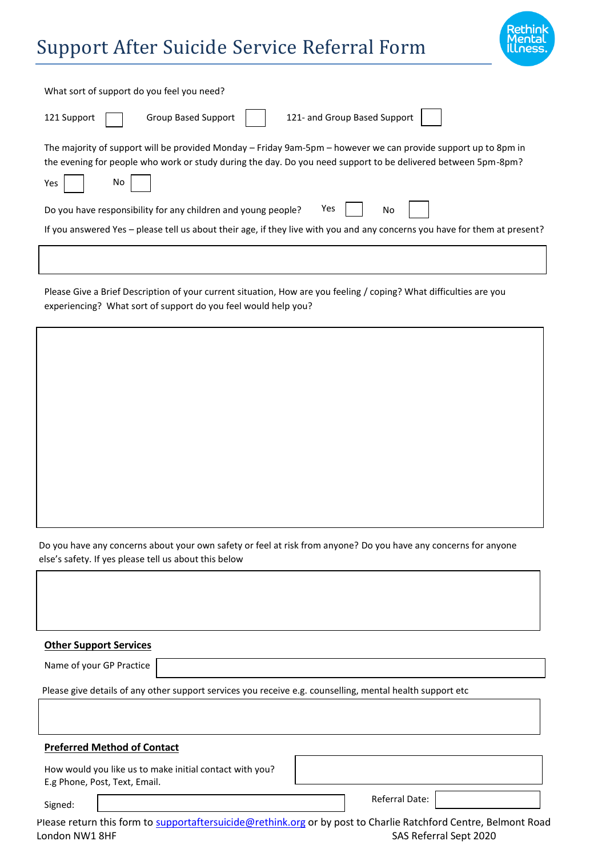## Support After Suicide Service Referral Form



٦

| What sort of support do you feel you need?                                                                                                                                                                                                   |
|----------------------------------------------------------------------------------------------------------------------------------------------------------------------------------------------------------------------------------------------|
| 121- and Group Based Support<br><b>Group Based Support</b><br>121 Support                                                                                                                                                                    |
| The majority of support will be provided Monday – Friday 9am-5pm – however we can provide support up to 8pm in<br>the evening for people who work or study during the day. Do you need support to be delivered between 5pm-8pm?<br>No<br>Yes |
| Yes<br>No<br>Do you have responsibility for any children and young people?                                                                                                                                                                   |
| If you answered Yes - please tell us about their age, if they live with you and any concerns you have for them at present?                                                                                                                   |
|                                                                                                                                                                                                                                              |

Please Give a Brief Description of your current situation, How are you feeling / coping? What difficulties are you experiencing? What sort of support do you feel would help you?

Do you have any concerns about your own safety or feel at risk from anyone? Do you have any concerns for anyone else's safety. If yes please tell us about this below

| <b>Other Support Services</b>                                                                                   |                        |
|-----------------------------------------------------------------------------------------------------------------|------------------------|
| Name of your GP Practice                                                                                        |                        |
| Please give details of any other support services you receive e.g. counselling, mental health support etc       |                        |
|                                                                                                                 |                        |
| <b>Preferred Method of Contact</b>                                                                              |                        |
| How would you like us to make initial contact with you?<br>E.g Phone, Post, Text, Email.                        |                        |
| Signed:                                                                                                         | Referral Date:         |
| Please return this form to supportaftersuicide@rethink.org or by post to Charlie Ratchford Centre, Belmont Road |                        |
| London NW1 8HF                                                                                                  | SAS Referral Sept 2020 |